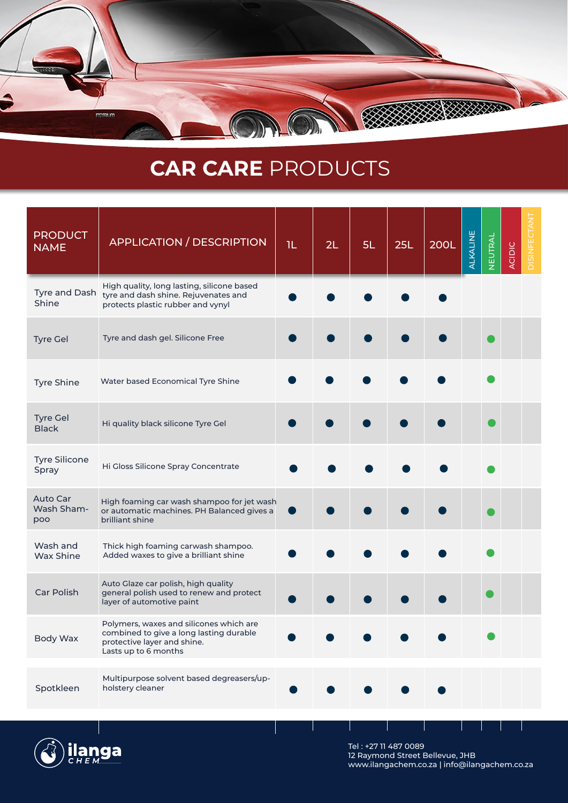

## **CAR CARE** PRODUCTS

| <b>PRODUCT</b><br><b>NAME</b>        | <b>APPLICATION / DESCRIPTION</b>                                                                                                          | 1L | 2L | 5L | <b>25L</b> | <b>200L</b> | ALKALINE | NEUTRAL | <b>ACIDIC</b> | <b>DISINFECTANT</b> |
|--------------------------------------|-------------------------------------------------------------------------------------------------------------------------------------------|----|----|----|------------|-------------|----------|---------|---------------|---------------------|
| Tyre and Dash<br>Shine               | High quality, long lasting, silicone based<br>tyre and dash shine. Rejuvenates and<br>protects plastic rubber and vynyl                   |    |    |    |            |             |          |         |               |                     |
| <b>Tyre Gel</b>                      | Tyre and dash gel. Silicone Free                                                                                                          |    |    |    |            |             |          |         |               |                     |
| <b>Tyre Shine</b>                    | Water based Economical Tyre Shine                                                                                                         |    |    |    |            |             |          |         |               |                     |
| <b>Tyre Gel</b><br><b>Black</b>      | Hi quality black silicone Tyre Gel                                                                                                        |    |    |    |            |             |          |         |               |                     |
| <b>Tyre Silicone</b><br>Spray        | Hi Gloss Silicone Spray Concentrate                                                                                                       |    |    |    |            |             |          |         |               |                     |
| <b>Auto Car</b><br>Wash Sham-<br>poo | High foaming car wash shampoo for jet wash<br>or automatic machines. PH Balanced gives a<br>brilliant shine                               |    |    |    |            |             |          |         |               |                     |
| Wash and<br>Wax Shine                | Thick high foaming carwash shampoo.<br>Added waxes to give a brilliant shine                                                              |    |    |    |            |             |          |         |               |                     |
| <b>Car Polish</b>                    | Auto Glaze car polish, high quality<br>general polish used to renew and protect<br>layer of automotive paint                              |    |    |    |            |             |          |         |               |                     |
| Body Wax                             | Polymers, waxes and silicones which are<br>combined to give a long lasting durable<br>protective layer and shine.<br>Lasts up to 6 months |    |    |    |            |             |          |         |               |                     |
| Spotkleen                            | Multipurpose solvent based degreasers/up-<br>holstery cleaner                                                                             |    |    |    |            |             |          |         |               |                     |



Tel : +27 11 487 0089 12 Raymond Street Bellevue, JHB www.ilangachem.co.za | info@ilangachem.co.za